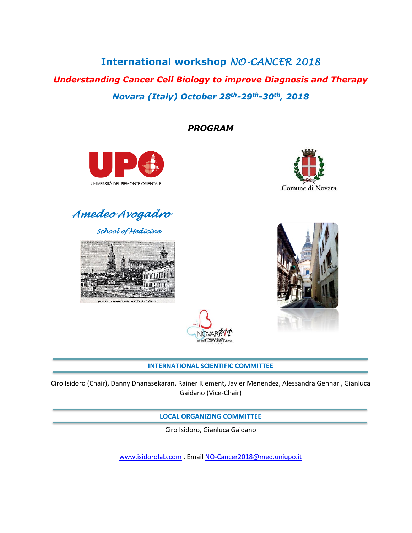# **International workshop** *NO-CANCER 2018*

*Understanding Cancer Cell Biology to improve Diagnosis and Therapy Novara (Italy) October 28th-29th-30th, 2018*

*PROGRAM*





*Amedeo Avogadro* 

*School of Medicine* 





# **INTERNATIONAL SCIENTIFIC COMMITTEE**

Ciro Isidoro (Chair), Danny Dhanasekaran, Rainer Klement, Javier Menendez, Alessandra Gennari, Gianluca Gaidano (Vice-Chair)

**LOCAL ORGANIZING COMMITTEE**

Ciro Isidoro, Gianluca Gaidano

[www.isidorolab.com](http://www.isidorolab.com/) . Emai[l NO-Cancer2018@med.uniupo.it](mailto:NO-Cancer2018@med.uniupo.it)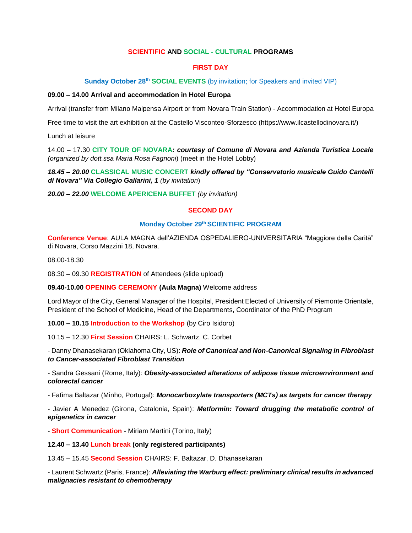### **SCIENTIFIC AND SOCIAL - CULTURAL PROGRAMS**

# **FIRST DAY**

#### **Sunday October 28<sup>th</sup> SOCIAL EVENTS** (by invitation; for Speakers and invited VIP)

#### **09.00 – 14.00 Arrival and accommodation in Hotel Europa**

Arrival (transfer from Milano Malpensa Airport or from Novara Train Station) - Accommodation at Hotel Europa

Free time to visit the art exhibition at the Castello Visconteo-Sforzesco (https://www.ilcastellodinovara.it/)

Lunch at leisure

14.00 – 17.30 **CITY TOUR OF NOVARA***: courtesy of Comune di Novara and Azienda Turistica Locale (organized by dott.ssa Maria Rosa Fagnoni*) (meet in the Hotel Lobby)

*18.45 – 20.00* **CLASSICAL MUSIC CONCERT** *kindly offered by "Conservatorio musicale Guido Cantelli di Novara" Via Collegio Gallarini, 1 (by invitation*)

*20.00 – 22.00* **WELCOME APERICENA BUFFET** *(by invitation)*

#### **SECOND DAY**

#### **Monday October 29th SCIENTIFIC PROGRAM**

**Conference Venue**: AULA MAGNA dell'AZIENDA OSPEDALIERO-UNIVERSITARIA "Maggiore della Carità" di Novara, Corso Mazzini 18, Novara.

08.00-18.30

08.30 – 09.30 **REGISTRATION** of Attendees (slide upload)

**09.40-10.00 OPENING CEREMONY (Aula Magna)** Welcome address

Lord Mayor of the City, General Manager of the Hospital, President Elected of University of Piemonte Orientale, President of the School of Medicine, Head of the Departments, Coordinator of the PhD Program

**10.00 – 10.15 Introduction to the Workshop** (by Ciro Isidoro)

10.15 – 12.30 **First Session** CHAIRS: L. Schwartz, C. Corbet

- Danny Dhanasekaran (Oklahoma City, US): *Role of Canonical and Non-Canonical Signaling in Fibroblast to Cancer-associated Fibroblast Transition*

- Sandra Gessani (Rome, Italy): *Obesity-associated alterations of adipose tissue microenvironment and colorectal cancer*

- Fatìma Baltazar (Minho, Portugal): *Monocarboxylate transporters (MCTs) as targets for cancer therapy*

- Javier A Menedez (Girona, Catalonia, Spain): *Metformin: Toward drugging the metabolic control of epigenetics in cancer*

- **Short Communication** - Miriam Martini (Torino, Italy)

**12.40 – 13.40 Lunch break (only registered participants)**

13.45 – 15.45 **Second Session** CHAIRS: F. Baltazar, D. Dhanasekaran

- Laurent Schwartz (Paris, France): *Alleviating the Warburg effect: preliminary clinical results in advanced malignacies resistant to chemotherapy*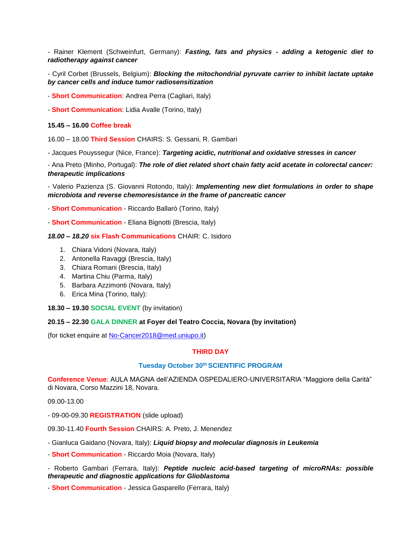- Rainer Klement (Schweinfurt, Germany): *Fasting, fats and physics - adding a ketogenic diet to radiotherapy against cancer*

- Cyril Corbet (Brussels, Belgium): *Blocking the mitochondrial pyruvate carrier to inhibit lactate uptake by cancer cells and induce tumor radiosensitization*

- **Short Communication**: Andrea Perra (Cagliari, Italy)

- **Short Communication**: Lidia Avalle (Torino, Italy)

**15.45 – 16.00 Coffee break**

16.00 – 18.00 **Third Session** CHAIRS: S. Gessani, R. Gambari

- Jacques Pouyssegur (Nice, France): *Targeting acidic, nutritional and oxidative stresses in cancer*

- Ana Preto (Minho, Portugal): *The role of diet related short chain fatty acid acetate in colorectal cancer: therapeutic implications*

- Valerio Pazienza (S. Giovanni Rotondo, Italy): *Implementing new diet formulations in order to shape microbiota and reverse chemoresistance in the frame of pancreatic cancer*

- **Short Communication** - Riccardo Ballarò (Torino, Italy)

- **Short Communication** - Eliana Bignotti (Brescia, Italy)

*18.00 – 18.20* **six Flash Communications** CHAIR: C. Isidoro

- 1. Chiara Vidoni (Novara, Italy)
- 2. Antonella Ravaggi (Brescia, Italy)
- 3. Chiara Romani (Brescia, Italy)
- 4. Martina Chiu (Parma, Italy)
- 5. Barbara Azzimonti (Novara, Italy)
- 6. Erica Mina (Torino, Italy):
- **18.30 – 19.30 SOCIAL EVENT** (by invitation)

#### **20.15 – 22.30 GALA DINNER at Foyer del Teatro Coccia, Novara (by invitation)**

(for ticket enquire at [No-Cancer2018@med.uniupo.it\)](mailto:No-Cancer2018@med.uniupo.it)

#### **THIRD DAY**

#### **Tuesday October 30th SCIENTIFIC PROGRAM**

**Conference Venue**: AULA MAGNA dell'AZIENDA OSPEDALIERO-UNIVERSITARIA "Maggiore della Carità" di Novara, Corso Mazzini 18, Novara.

09.00-13.00

- 09-00-09.30 **REGISTRATION** (slide upload)

09.30-11.40 **Fourth Session** CHAIRS: A. Preto, J. Menendez

- Gianluca Gaidano (Novara, Italy): *Liquid biopsy and molecular diagnosis in Leukemia*
- **Short Communication** Riccardo Moia (Novara, Italy)
- Roberto Gambari (Ferrara, Italy): *Peptide nucleic acid-based targeting of microRNAs: possible therapeutic and diagnostic applications for Glioblastoma*

- **Short Communication** - Jessica Gasparello (Ferrara, Italy)